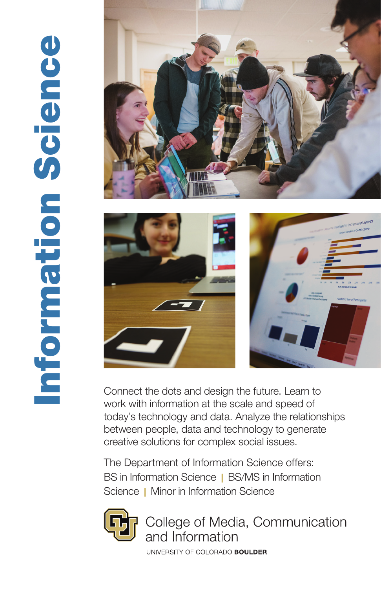## Information Science Information Science





Connect the dots and design the future. Learn to work with information at the scale and speed of today's technology and data. Analyze the relationships between people, data and technology to generate creative solutions for complex social issues.

The Department of Information Science offers: BS in Information Science | BS/MS in Information Science | Minor in Information Science



College of Media, Communication and Information

UNIVERSITY OF COLORADO BOULDER